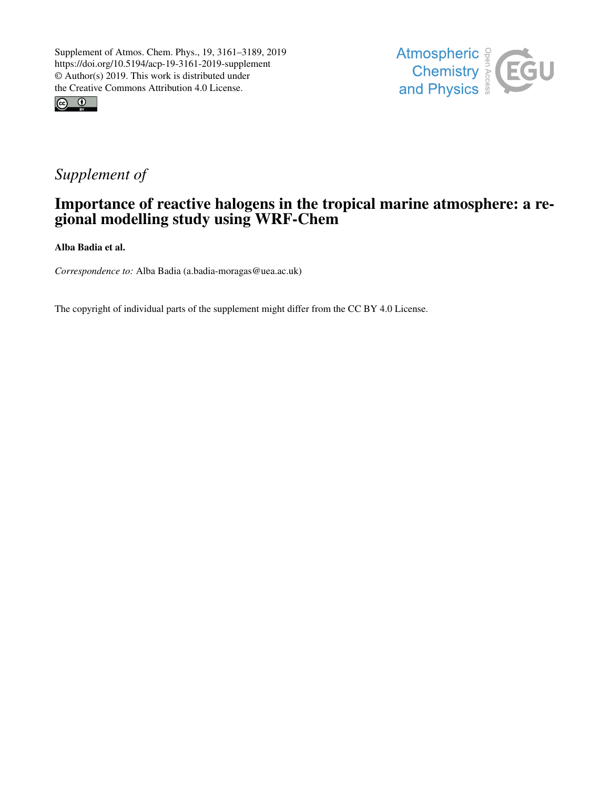



## *Supplement of*

## Importance of reactive halogens in the tropical marine atmosphere: a regional modelling study using WRF-Chem

Alba Badia et al.

*Correspondence to:* Alba Badia (a.badia-moragas@uea.ac.uk)

The copyright of individual parts of the supplement might differ from the CC BY 4.0 License.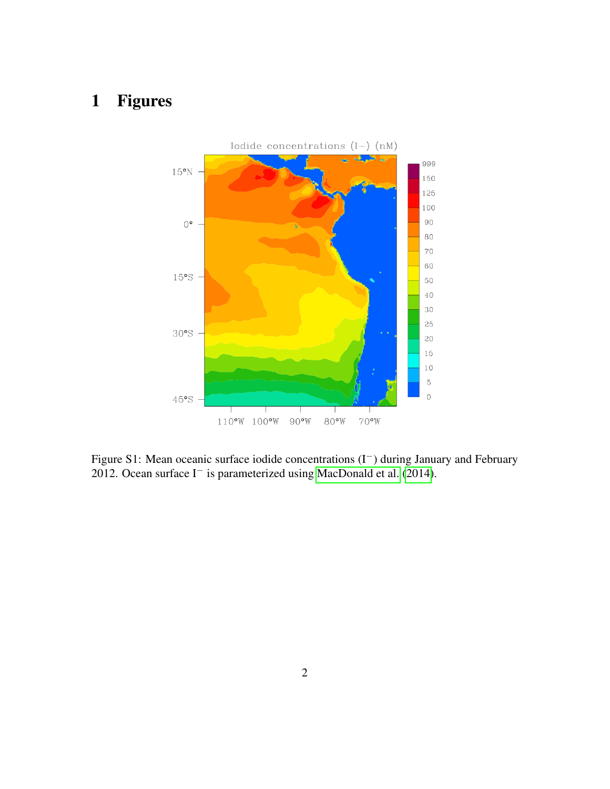## 1 Figures



Figure S1: Mean oceanic surface iodide concentrations (I−) during January and February 2012. Ocean surface I<sup>−</sup> is parameterized using [MacDonald et al.](#page-4-0) [\(2014\)](#page-4-0).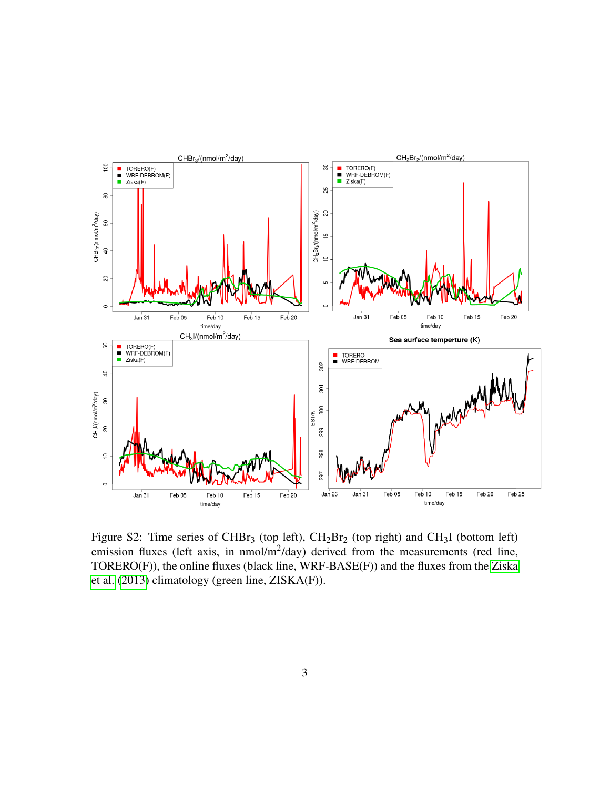

Figure S2: Time series of CHBr<sub>3</sub> (top left),  $CH_2Br_2$  (top right) and CH<sub>3</sub>I (bottom left) emission fluxes (left axis, in nmol/m<sup>2</sup>/day) derived from the measurements (red line, TORERO(F)), the online fluxes (black line, WRF-BASE(F)) and the fluxes from the [Ziska](#page-4-1) [et al.](#page-4-1) [\(2013\)](#page-4-1) climatology (green line, ZISKA(F)).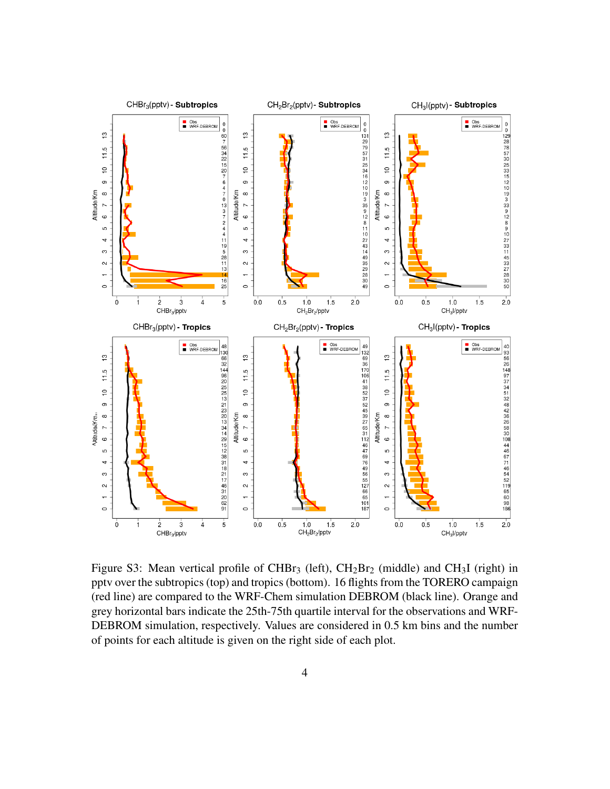

Figure S3: Mean vertical profile of CHBr<sub>3</sub> (left),  $CH_2Br_2$  (middle) and CH<sub>3</sub>I (right) in pptv over the subtropics (top) and tropics (bottom). 16 flights from the TORERO campaign (red line) are compared to the WRF-Chem simulation DEBROM (black line). Orange and grey horizontal bars indicate the 25th-75th quartile interval for the observations and WRF-DEBROM simulation, respectively. Values are considered in 0.5 km bins and the number of points for each altitude is given on the right side of each plot.